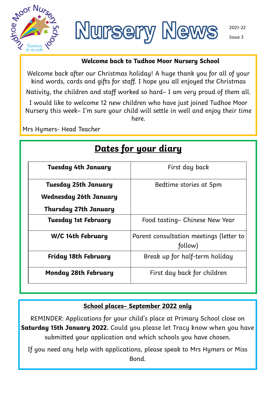



#### **Welcome back to Tudhoe Moor Nursery School**

Welcome back after our Christmas holiday! A huge thank you for all of your kind words, cards and gifts for staff. I hope you all enjoyed the Christmas

Nativity, the children and staff worked so hard– I am very proud of them all.

I would like to welcome 12 new children who have just joined Tudhoe Moor Nursery this week- I'm sure your child will settle in well and enjoy their time here.

Mrs Hymers- Head Teacher

| <u>Dates for your diary</u>  |                                                    |
|------------------------------|----------------------------------------------------|
| Tuesday 4th January          | First day back                                     |
| Tuesday 25th January         | Bedtime stories at 5pm                             |
| Wednesday 26th January       |                                                    |
| <b>Thursday 27th January</b> |                                                    |
| <b>Tuesday 1st February</b>  | Food tasting– Chinese New Year                     |
| W/C 14th February            | Parent consultation meetings (letter to<br>follow) |
| Friday 18th February         | Break up for half-term holiday                     |
| <b>Monday 28th February</b>  | First day back for children                        |

### **School places– September 2022 only**

REMINDER: Applications for your child's place at Primary School close on **Saturday 15th January 2022.** Could you please let Tracy know when you have submitted your application and which schools you have chosen.

If you need any help with applications, please speak to Mrs Hymers or Miss Bond.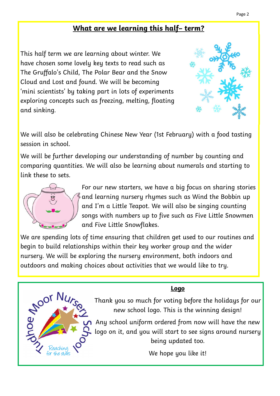# **What are we learning this half– term?**

This half term we are learning about winter. We have chosen some lovely key texts to read such as The Gruffalo's Child, The Polar Bear and the Snow Cloud and Lost and found. We will be becoming 'mini scientists' by taking part in lots of experiments exploring concepts such as freezing, melting, floating and sinking.

We will also be celebrating Chinese New Year (1st February) with a food tasting session in school.

We will be further developing our understanding of number by counting and comparing quantities. We will also be learning about numerals and starting to link these to sets.



For our new starters, we have a big focus on sharing stories and learning nursery rhymes such as Wind the Bobbin up and I'm a Little Teapot. We will also be singing counting songs with numbers up to five such as Five Little Snowmen and Five Little Snowflakes.

We are spending lots of time ensuring that children get used to our routines and begin to build relationships within their key worker group and the wider nursery. We will be exploring the nursery environment, both indoors and outdoors and making choices about activities that we would like to try.

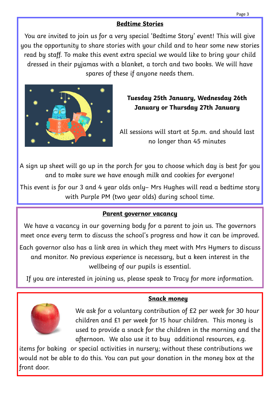# **Bedtime Stories**

You are invited to join us for a very special 'Bedtime Story' event! This will give you the opportunity to share stories with your child and to hear some new stories read by staff. To make this event extra special we would like to bring your child dressed in their pyjamas with a blanket, a torch and two books. We will have spares of these if anyone needs them.



**Tuesday 25th January, Wednesday 26th January or Thursday 27th January**

All sessions will start at 5p.m. and should last no longer than 45 minutes

A sign up sheet will go up in the porch for you to choose which day is best for you and to make sure we have enough milk and cookies for everyone!

This event is for our 3 and 4 year olds only– Mrs Hughes will read a bedtime story with Purple PM (two year olds) during school time.

### **Parent governor vacancy**

We have a vacancy in our governing body for a parent to join us. The governors meet once every term to discuss the school's progress and how it can be improved.

Each governor also has a link area in which they meet with Mrs Hymers to discuss and monitor. No previous experience is necessary, but a keen interest in the wellbeing of our pupils is essential.

If you are interested in joining us, please speak to Tracy for more information.



**Snack money**

We ask for a voluntary contribution of £2 per week for 30 hour children and £1 per week for 15 hour children. This money is used to provide a snack for the children in the morning and the afternoon. We also use it to buy additional resources, e.g.

items for baking or special activities in nursery; without these contributions we would not be able to do this. You can put your donation in the money box at the front door.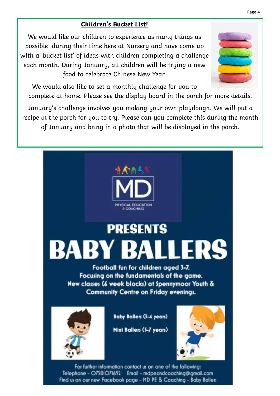## **Children's Bucket List!**

We would like our children to experience as many things as possible during their time here at Nursery and have come up with a 'bucket list' of ideas with children completing a challenge each month. During January, all children will be trying a new food to celebrate Chinese New Year.



We would also like to set a monthly challenge for you to complete at home. Please see the display board in the porch for more details.

January's challenge involves you making your own playdough. We will put a recipe in the porch for you to try. Please can you complete this during the month of January and bring in a photo that will be displayed in the porch.



#### Page 4